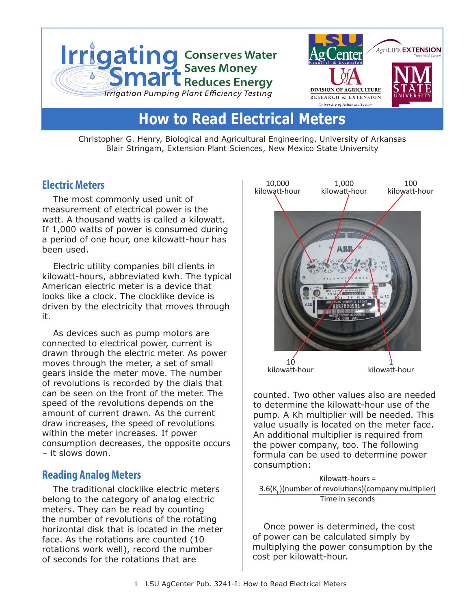

# **How to Read Electrical Meters**

Christopher G. Henry, Biological and Agricultural Engineering, University of Arkansas Blair Stringam, Extension Plant Sciences, New Mexico State University

## **Electric Meters**

The most commonly used unit of measurement of electrical power is the watt. A thousand watts is called a kilowatt. If 1,000 watts of power is consumed during a period of one hour, one kilowatt-hour has been used.

Electric utility companies bill clients in kilowatt-hours, abbreviated kwh. The typical American electric meter is a device that looks like a clock. The clocklike device is driven by the electricity that moves through it.

As devices such as pump motors are connected to electrical power, current is drawn through the electric meter. As power moves through the meter, a set of small gears inside the meter move. The number of revolutions is recorded by the dials that can be seen on the front of the meter. The speed of the revolutions depends on the amount of current drawn. As the current draw increases, the speed of revolutions within the meter increases. If power consumption decreases, the opposite occurs – it slows down.

### **Reading Analog Meters**

The traditional clocklike electric meters belong to the category of analog electric meters. They can be read by counting the number of revolutions of the rotating horizontal disk that is located in the meter face. As the rotations are counted (10 rotations work well), record the number of seconds for the rotations that are



counted. Two other values also are needed to determine the kilowatt-hour use of the pump. A Kh multiplier will be needed. This value usually is located on the meter face. An additional multiplier is required from the power company, too. The following formula can be used to determine power consumption:

Kilowatt-hours = 3.6(K<sub>h</sub>)(number of revolutions)(company multiplier) Time in seconds

Once power is determined, the cost of power can be calculated simply by multiplying the power consumption by the cost per kilowatt-hour.